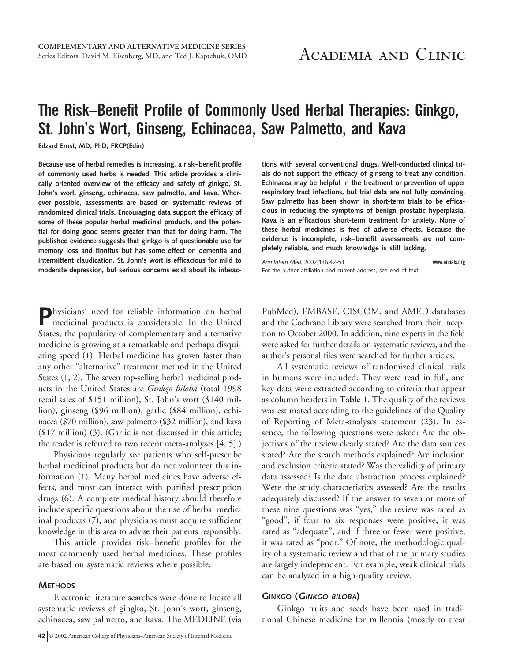# **The Risk–Benefit Profile of Commonly Used Herbal Therapies: Ginkgo, St. John's Wort, Ginseng, Echinacea, Saw Palmetto, and Kava**

**Edzard Ernst, MD, PhD, FRCP(Edin)**

**Because use of herbal remedies is increasing, a risk–benefit profile of commonly used herbs is needed. This article provides a clinically oriented overview of the efficacy and safety of ginkgo, St. John's wort, ginseng, echinacea, saw palmetto, and kava. Wherever possible, assessments are based on systematic reviews of randomized clinical trials. Encouraging data support the efficacy of some of these popular herbal medicinal products, and the potential for doing good seems greater than that for doing harm. The published evidence suggests that ginkgo is of questionable use for memory loss and tinnitus but has some effect on dementia and intermittent claudication. St. John's wort is efficacious for mild to moderate depression, but serious concerns exist about its interac-** **tions with several conventional drugs. Well-conducted clinical trials do not support the efficacy of ginseng to treat any condition. Echinacea may be helpful in the treatment or prevention of upper respiratory tract infections, but trial data are not fully convincing. Saw palmetto has been shown in short-term trials to be efficacious in reducing the symptoms of benign prostatic hyperplasia. Kava is an efficacious short-term treatment for anxiety. None of these herbal medicines is free of adverse effects. Because the evidence is incomplete, risk–benefit assessments are not completely reliable, and much knowledge is still lacking.**

*Ann Intern Med.* 2002;136:42-53. **www.annals.org** For the author affiliation and current address, see end of text.

**P**hysicians' need for reliable information on herbal medicinal products is considerable. In the United States, the popularity of complementary and alternative medicine is growing at a remarkable and perhaps disquieting speed (1). Herbal medicine has grown faster than any other "alternative" treatment method in the United States (1, 2). The seven top-selling herbal medicinal products in the United States are *Ginkgo biloba* (total 1998 retail sales of \$151 million), St. John's wort (\$140 million), ginseng (\$96 million), garlic (\$84 million), echinacea (\$70 million), saw palmetto (\$32 million), and kava (\$17 million) (3). (Garlic is not discussed in this article; the reader is referred to two recent meta-analyses [4, 5].)

Physicians regularly see patients who self-prescribe herbal medicinal products but do not volunteer this information (1). Many herbal medicines have adverse effects, and most can interact with purified prescription drugs (6). A complete medical history should therefore include specific questions about the use of herbal medicinal products (7), and physicians must acquire sufficient knowledge in this area to advise their patients responsibly.

This article provides risk–benefit profiles for the most commonly used herbal medicines. These profiles are based on systematic reviews where possible.

#### **METHODS**

Electronic literature searches were done to locate all systematic reviews of gingko, St. John's wort, ginseng, echinacea, saw palmetto, and kava. The MEDLINE (via PubMed), EMBASE, CISCOM, and AMED databases and the Cochrane Library were searched from their inception to October 2000. In addition, nine experts in the field were asked for further details on systematic reviews, and the author's personal files were searched for further articles.

All systematic reviews of randomized clinical trials in humans were included. They were read in full, and key data were extracted according to criteria that appear as column headers in **Table 1**. The quality of the reviews was estimated according to the guidelines of the Quality of Reporting of Meta-analyses statement (23). In essence, the following questions were asked: Are the objectives of the review clearly stated? Are the data sources stated? Are the search methods explained? Are inclusion and exclusion criteria stated? Was the validity of primary data assessed? Is the data abstraction process explained? Were the study characteristics assessed? Are the results adequately discussed? If the answer to seven or more of these nine questions was "yes," the review was rated as "good"; if four to six responses were positive, it was rated as "adequate"; and if three or fewer were positive, it was rated as "poor." Of note, the methodologic quality of a systematic review and that of the primary studies are largely independent: For example, weak clinical trials can be analyzed in a high-quality review.

#### **GINKGO (GINKGO BILOBA)**

Ginkgo fruits and seeds have been used in traditional Chinese medicine for millennia (mostly to treat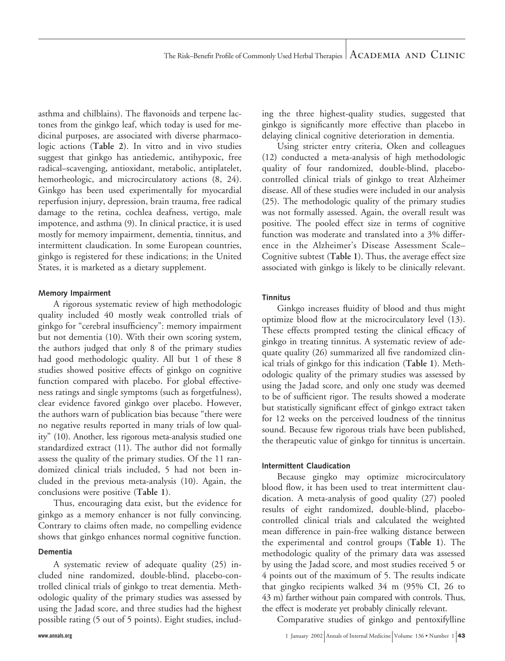asthma and chilblains). The flavonoids and terpene lactones from the ginkgo leaf, which today is used for medicinal purposes, are associated with diverse pharmacologic actions (**Table 2**). In vitro and in vivo studies suggest that ginkgo has antiedemic, antihypoxic, free radical–scavenging, antioxidant, metabolic, antiplatelet, hemorheologic, and microcirculatory actions (8, 24). Ginkgo has been used experimentally for myocardial reperfusion injury, depression, brain trauma, free radical damage to the retina, cochlea deafness, vertigo, male impotence, and asthma (9). In clinical practice, it is used mostly for memory impairment, dementia, tinnitus, and intermittent claudication. In some European countries, ginkgo is registered for these indications; in the United States, it is marketed as a dietary supplement.

#### **Memory Impairment**

A rigorous systematic review of high methodologic quality included 40 mostly weak controlled trials of ginkgo for "cerebral insufficiency": memory impairment but not dementia (10). With their own scoring system, the authors judged that only 8 of the primary studies had good methodologic quality. All but 1 of these 8 studies showed positive effects of ginkgo on cognitive function compared with placebo. For global effectiveness ratings and single symptoms (such as forgetfulness), clear evidence favored ginkgo over placebo. However, the authors warn of publication bias because "there were no negative results reported in many trials of low quality" (10). Another, less rigorous meta-analysis studied one standardized extract (11). The author did not formally assess the quality of the primary studies. Of the 11 randomized clinical trials included, 5 had not been included in the previous meta-analysis (10). Again, the conclusions were positive (**Table 1**).

Thus, encouraging data exist, but the evidence for ginkgo as a memory enhancer is not fully convincing. Contrary to claims often made, no compelling evidence shows that ginkgo enhances normal cognitive function.

#### **Dementia**

A systematic review of adequate quality (25) included nine randomized, double-blind, placebo-controlled clinical trials of ginkgo to treat dementia. Methodologic quality of the primary studies was assessed by using the Jadad score, and three studies had the highest possible rating (5 out of 5 points). Eight studies, including the three highest-quality studies, suggested that ginkgo is significantly more effective than placebo in delaying clinical cognitive deterioration in dementia.

Using stricter entry criteria, Oken and colleagues (12) conducted a meta-analysis of high methodologic quality of four randomized, double-blind, placebocontrolled clinical trials of ginkgo to treat Alzheimer disease. All of these studies were included in our analysis (25). The methodologic quality of the primary studies was not formally assessed. Again, the overall result was positive. The pooled effect size in terms of cognitive function was moderate and translated into a 3% difference in the Alzheimer's Disease Assessment Scale– Cognitive subtest (**Table 1**). Thus, the average effect size associated with ginkgo is likely to be clinically relevant.

#### **Tinnitus**

Ginkgo increases fluidity of blood and thus might optimize blood flow at the microcirculatory level (13). These effects prompted testing the clinical efficacy of ginkgo in treating tinnitus. A systematic review of adequate quality (26) summarized all five randomized clinical trials of ginkgo for this indication (**Table 1**). Methodologic quality of the primary studies was assessed by using the Jadad score, and only one study was deemed to be of sufficient rigor. The results showed a moderate but statistically significant effect of ginkgo extract taken for 12 weeks on the perceived loudness of the tinnitus sound. Because few rigorous trials have been published, the therapeutic value of ginkgo for tinnitus is uncertain.

#### **Intermittent Claudication**

Because gingko may optimize microcirculatory blood flow, it has been used to treat intermittent claudication. A meta-analysis of good quality (27) pooled results of eight randomized, double-blind, placebocontrolled clinical trials and calculated the weighted mean difference in pain-free walking distance between the experimental and control groups (**Table 1**). The methodologic quality of the primary data was assessed by using the Jadad score, and most studies received 5 or 4 points out of the maximum of 5. The results indicate that gingko recipients walked 34 m (95% CI, 26 to 43 m) farther without pain compared with controls. Thus, the effect is moderate yet probably clinically relevant.

Comparative studies of ginkgo and pentoxifylline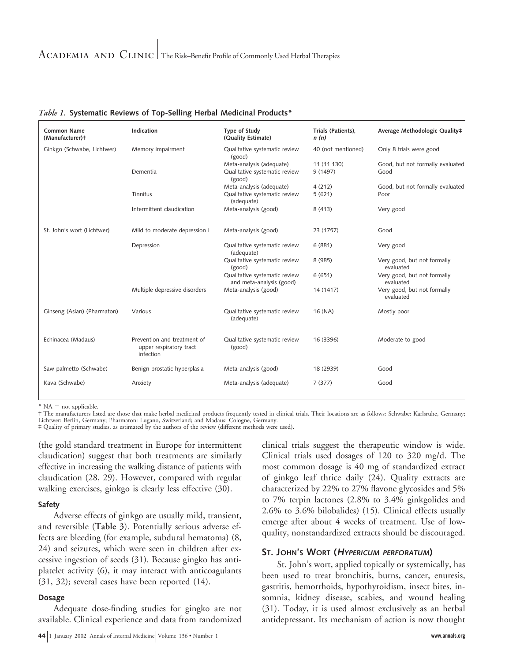# ACADEMIA AND CLINIC | The Risk–Benefit Profile of Commonly Used Herbal Therapies

| <b>Common Name</b><br>(Manufacturer)+ | Indication                                                          | Type of Study<br>(Quality Estimate)                       | Trials (Patients),<br>n(n) | Average Methodologic Quality#            |
|---------------------------------------|---------------------------------------------------------------------|-----------------------------------------------------------|----------------------------|------------------------------------------|
| Ginkgo (Schwabe, Lichtwer)            | Memory impairment                                                   | Qualitative systematic review<br>(good)                   | 40 (not mentioned)         | Only 8 trials were good                  |
|                                       |                                                                     | Meta-analysis (adequate)                                  | 11 (11 130)                | Good, but not formally evaluated         |
|                                       | Dementia                                                            | Qualitative systematic review<br>(good)                   | 9 (1497)                   | Good                                     |
|                                       |                                                                     | Meta-analysis (adequate)                                  | 4(212)                     | Good, but not formally evaluated         |
|                                       | Tinnitus                                                            | Qualitative systematic review<br>(adequate)               | 5(621)                     | Poor                                     |
|                                       | Intermittent claudication                                           | Meta-analysis (good)                                      | 8(413)                     | Very good                                |
| St. John's wort (Lichtwer)            | Mild to moderate depression I                                       | Meta-analysis (good)                                      | 23 (1757)                  | Good                                     |
|                                       | Depression                                                          | Qualitative systematic review<br>(adequate)               | 6(881)                     | Very good                                |
|                                       |                                                                     | Qualitative systematic review<br>(good)                   | 8 (985)                    | Very good, but not formally<br>evaluated |
|                                       |                                                                     | Qualitative systematic review<br>and meta-analysis (good) | 6(651)                     | Very good, but not formally<br>evaluated |
|                                       | Multiple depressive disorders                                       | Meta-analysis (good)                                      | 14 (1417)                  | Very good, but not formally<br>evaluated |
| Ginseng (Asian) (Pharmaton)           | Various                                                             | Qualitative systematic review<br>(adequate)               | 16 (NA)                    | Mostly poor                              |
| Echinacea (Madaus)                    | Prevention and treatment of<br>upper respiratory tract<br>infection | Qualitative systematic review<br>(good)                   | 16 (3396)                  | Moderate to good                         |
| Saw palmetto (Schwabe)                | Benign prostatic hyperplasia                                        | Meta-analysis (good)                                      | 18 (2939)                  | Good                                     |
| Kava (Schwabe)                        | Anxiety                                                             | Meta-analysis (adequate)                                  | 7(377)                     | Good                                     |

#### *Table 1.* **Systematic Reviews of Top-Selling Herbal Medicinal Products\***

\*  $NA = not applicable.$ 

† The manufacturers listed are those that make herbal medicinal products frequently tested in clinical trials. Their locations are as follows: Schwabe: Karlsruhe, Germany; Lichtwer: Berlin, Germany; Pharmaton: Lugano, Switzerland; and Madaus: Cologne, Germany. ‡ Quality of primary studies, as estimated by the authors of the review (different methods were used).

(the gold standard treatment in Europe for intermittent claudication) suggest that both treatments are similarly effective in increasing the walking distance of patients with claudication (28, 29). However, compared with regular walking exercises, ginkgo is clearly less effective (30).

#### **Safety**

Adverse effects of ginkgo are usually mild, transient, and reversible (**Table 3**). Potentially serious adverse effects are bleeding (for example, subdural hematoma) (8, 24) and seizures, which were seen in children after excessive ingestion of seeds (31). Because gingko has antiplatelet activity (6), it may interact with anticoagulants (31, 32); several cases have been reported (14).

#### **Dosage**

Adequate dose-finding studies for gingko are not available. Clinical experience and data from randomized

**44** 1 January 2002 Annals of Internal Medicine Volume 136 • Number 1 **www.annals.org**

clinical trials suggest the therapeutic window is wide. Clinical trials used dosages of 120 to 320 mg/d. The most common dosage is 40 mg of standardized extract of ginkgo leaf thrice daily (24). Quality extracts are characterized by 22% to 27% flavone glycosides and 5% to 7% terpin lactones (2.8% to 3.4% ginkgolides and 2.6% to 3.6% bilobalides) (15). Clinical effects usually emerge after about 4 weeks of treatment. Use of lowquality, nonstandardized extracts should be discouraged.

#### **ST. JOHN'S WORT (<sup>H</sup>YPERICUM PERFORATUM)**

St. John's wort, applied topically or systemically, has been used to treat bronchitis, burns, cancer, enuresis, gastritis, hemorrhoids, hypothyroidism, insect bites, insomnia, kidney disease, scabies, and wound healing (31). Today, it is used almost exclusively as an herbal antidepressant. Its mechanism of action is now thought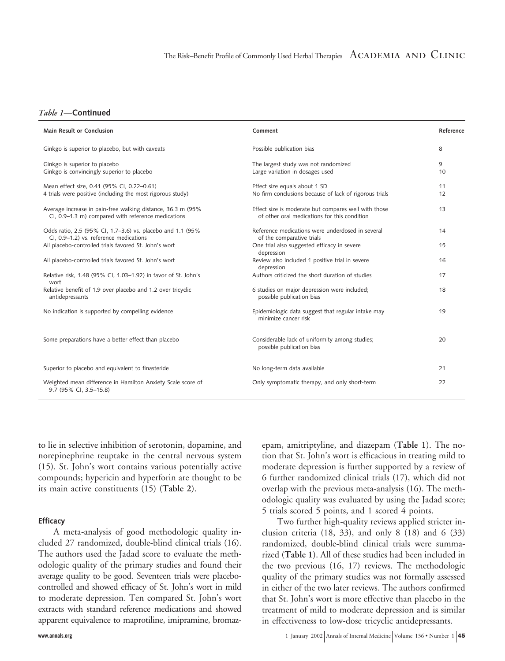#### *Table 1—***Continued**

| Main Result or Conclusion                                                                                         | Comment                                                                                              | Reference |
|-------------------------------------------------------------------------------------------------------------------|------------------------------------------------------------------------------------------------------|-----------|
| Ginkgo is superior to placebo, but with caveats                                                                   | Possible publication bias                                                                            | 8         |
| Ginkgo is superior to placebo<br>Ginkgo is convincingly superior to placebo                                       | The largest study was not randomized<br>Large variation in dosages used                              | 9<br>10   |
| Mean effect size, 0.41 (95% CI, 0.22-0.61)<br>4 trials were positive (including the most rigorous study)          | Effect size equals about 1 SD<br>No firm conclusions because of lack of rigorous trials              | 11<br>12  |
| Average increase in pain-free walking distance, 36.3 m (95%<br>CI, 0.9-1.3 m) compared with reference medications | Effect size is moderate but compares well with those<br>of other oral medications for this condition | 13        |
| Odds ratio, 2.5 (95% CI, 1.7-3.6) vs. placebo and 1.1 (95%<br>CI, 0.9-1.2) vs. reference medications              | Reference medications were underdosed in several<br>of the comparative trials                        | 14        |
| All placebo-controlled trials favored St. John's wort                                                             | One trial also suggested efficacy in severe<br>depression                                            | 15        |
| All placebo-controlled trials favored St. John's wort                                                             | Review also included 1 positive trial in severe<br>depression                                        | 16        |
| Relative risk, 1.48 (95% CI, 1.03-1.92) in favor of St. John's<br>wort                                            | Authors criticized the short duration of studies                                                     | 17        |
| Relative benefit of 1.9 over placebo and 1.2 over tricyclic<br>antidepressants                                    | 6 studies on major depression were included;<br>possible publication bias                            | 18        |
| No indication is supported by compelling evidence                                                                 | Epidemiologic data suggest that regular intake may<br>minimize cancer risk                           | 19        |
| Some preparations have a better effect than placebo                                                               | Considerable lack of uniformity among studies;<br>possible publication bias                          | 20        |
| Superior to placebo and equivalent to finasteride                                                                 | No long-term data available                                                                          | 21        |
| Weighted mean difference in Hamilton Anxiety Scale score of<br>9.7 (95% CI, 3.5-15.8)                             | Only symptomatic therapy, and only short-term                                                        | 22        |

to lie in selective inhibition of serotonin, dopamine, and norepinephrine reuptake in the central nervous system (15). St. John's wort contains various potentially active compounds; hypericin and hyperforin are thought to be its main active constituents (15) (**Table 2**).

#### **Efficacy**

A meta-analysis of good methodologic quality included 27 randomized, double-blind clinical trials (16). The authors used the Jadad score to evaluate the methodologic quality of the primary studies and found their average quality to be good. Seventeen trials were placebocontrolled and showed efficacy of St. John's wort in mild to moderate depression. Ten compared St. John's wort extracts with standard reference medications and showed apparent equivalence to maprotiline, imipramine, bromaz-

epam, amitriptyline, and diazepam (**Table 1**). The notion that St. John's wort is efficacious in treating mild to moderate depression is further supported by a review of 6 further randomized clinical trials (17), which did not overlap with the previous meta-analysis (16). The methodologic quality was evaluated by using the Jadad score; 5 trials scored 5 points, and 1 scored 4 points.

Two further high-quality reviews applied stricter inclusion criteria (18, 33), and only 8 (18) and 6 (33) randomized, double-blind clinical trials were summarized (**Table 1**). All of these studies had been included in the two previous (16, 17) reviews. The methodologic quality of the primary studies was not formally assessed in either of the two later reviews. The authors confirmed that St. John's wort is more effective than placebo in the treatment of mild to moderate depression and is similar in effectiveness to low-dose tricyclic antidepressants.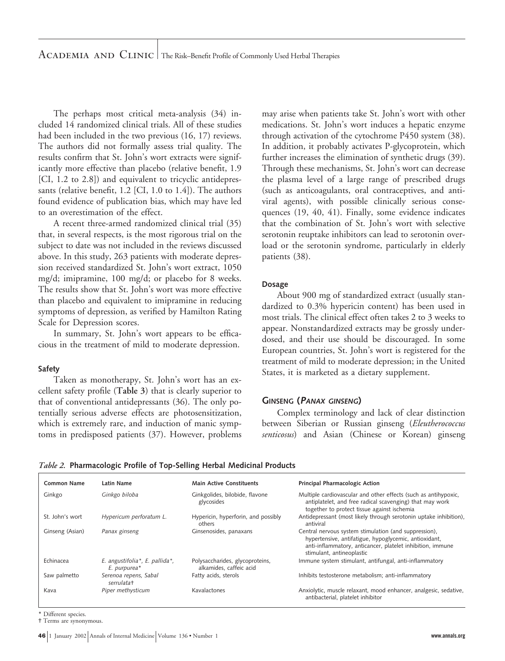The perhaps most critical meta-analysis (34) included 14 randomized clinical trials. All of these studies had been included in the two previous (16, 17) reviews. The authors did not formally assess trial quality. The results confirm that St. John's wort extracts were significantly more effective than placebo (relative benefit, 1.9 [CI, 1.2 to 2.8]) and equivalent to tricyclic antidepressants (relative benefit, 1.2 [CI, 1.0 to 1.4]). The authors found evidence of publication bias, which may have led to an overestimation of the effect.

A recent three-armed randomized clinical trial (35) that, in several respects, is the most rigorous trial on the subject to date was not included in the reviews discussed above. In this study, 263 patients with moderate depression received standardized St. John's wort extract, 1050 mg/d; imipramine, 100 mg/d; or placebo for 8 weeks. The results show that St. John's wort was more effective than placebo and equivalent to imipramine in reducing symptoms of depression, as verified by Hamilton Rating Scale for Depression scores.

In summary, St. John's wort appears to be efficacious in the treatment of mild to moderate depression.

# **Safety**

Taken as monotherapy, St. John's wort has an excellent safety profile (**Table 3**) that is clearly superior to that of conventional antidepressants (36). The only potentially serious adverse effects are photosensitization, which is extremely rare, and induction of manic symptoms in predisposed patients (37). However, problems may arise when patients take St. John's wort with other medications. St. John's wort induces a hepatic enzyme through activation of the cytochrome P450 system (38). In addition, it probably activates P-glycoprotein, which further increases the elimination of synthetic drugs (39). Through these mechanisms, St. John's wort can decrease the plasma level of a large range of prescribed drugs (such as anticoagulants, oral contraceptives, and antiviral agents), with possible clinically serious consequences (19, 40, 41). Finally, some evidence indicates that the combination of St. John's wort with selective serotonin reuptake inhibitors can lead to serotonin overload or the serotonin syndrome, particularly in elderly patients (38).

#### **Dosage**

About 900 mg of standardized extract (usually standardized to 0.3% hypericin content) has been used in most trials. The clinical effect often takes 2 to 3 weeks to appear. Nonstandardized extracts may be grossly underdosed, and their use should be discouraged. In some European countries, St. John's wort is registered for the treatment of mild to moderate depression; in the United States, it is marketed as a dietary supplement.

#### **GINSENG (<sup>P</sup>ANAX GINSENG)**

Complex terminology and lack of clear distinction between Siberian or Russian ginseng (*Eleutherococcus senticosus*) and Asian (Chinese or Korean) ginseng

| Table 2. Pharmacologic Profile of Top-Selling Herbal Medicinal Products |                                                            |                                                                                                                                                                                                           |  |  |
|-------------------------------------------------------------------------|------------------------------------------------------------|-----------------------------------------------------------------------------------------------------------------------------------------------------------------------------------------------------------|--|--|
| Latin Name                                                              | <b>Main Active Constituents</b>                            | Principal Pharmacologic Action                                                                                                                                                                            |  |  |
| Ginkgo biloba                                                           | Ginkgolides, bilobide, flavone<br>glycosides               | Multiple cardiovascular and other effects (such as antihypoxic,<br>antiplatelet, and free radical scavenging) that may work<br>together to protect tissue against ischemia                                |  |  |
| Hypericum perforatum L.                                                 | Hypericin, hyperforin, and possibly<br>others              | Antidepressant (most likely through serotonin uptake inhibition),<br>antiviral                                                                                                                            |  |  |
| Panax ginseng                                                           | Ginsenosides, panaxans                                     | Central nervous system stimulation (and suppression),<br>hypertensive, antifatigue, hypoglycemic, antioxidant,<br>anti-inflammatory, anticancer, platelet inhibition, immune<br>stimulant, antineoplastic |  |  |
| E. angustifolia*, E. pallida*,<br>E. purpurea*                          | Polysaccharides, glycoproteins,<br>alkamides, caffeic acid | Immune system stimulant, antifungal, anti-inflammatory                                                                                                                                                    |  |  |
| Serenoa repens, Sabal<br>serrulata+                                     | Fatty acids, sterols                                       | Inhibits testosterone metabolism; anti-inflammatory                                                                                                                                                       |  |  |
| Piper methysticum                                                       | Kavalactones                                               | Anxiolytic, muscle relaxant, mood enhancer, analgesic, sedative,<br>antibacterial, platelet inhibitor                                                                                                     |  |  |
|                                                                         |                                                            |                                                                                                                                                                                                           |  |  |

\* Different species.

† Terms are synonymous.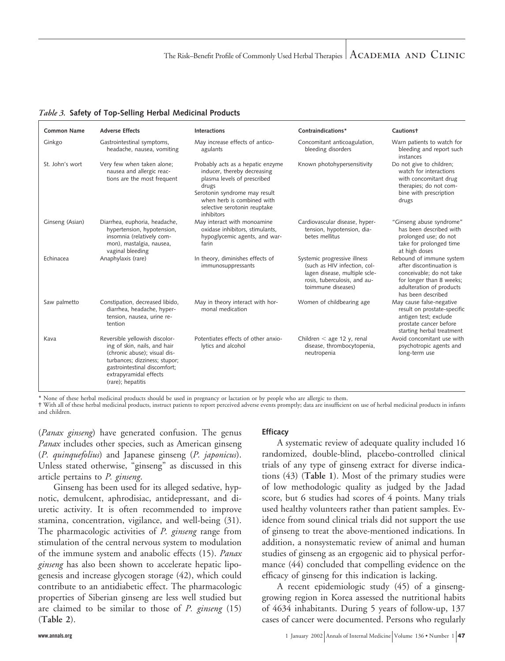*Table 3.* **Safety of Top-Selling Herbal Medicinal Products**

| <b>Common Name</b> | <b>Adverse Effects</b>                                                                                                                                                                                         | Interactions                                                                                                                                                                                                          | Contraindications*                                                                                                                                  | <b>Cautionst</b>                                                                                                                                               |
|--------------------|----------------------------------------------------------------------------------------------------------------------------------------------------------------------------------------------------------------|-----------------------------------------------------------------------------------------------------------------------------------------------------------------------------------------------------------------------|-----------------------------------------------------------------------------------------------------------------------------------------------------|----------------------------------------------------------------------------------------------------------------------------------------------------------------|
| Ginkgo             | Gastrointestinal symptoms,<br>headache, nausea, vomiting                                                                                                                                                       | May increase effects of antico-<br>agulants                                                                                                                                                                           | Concomitant anticoagulation,<br>bleeding disorders                                                                                                  | Warn patients to watch for<br>bleeding and report such<br>instances                                                                                            |
| St. John's wort    | Very few when taken alone;<br>nausea and allergic reac-<br>tions are the most frequent                                                                                                                         | Probably acts as a hepatic enzyme<br>inducer, thereby decreasing<br>plasma levels of prescribed<br>drugs<br>Serotonin syndrome may result<br>when herb is combined with<br>selective serotonin reuptake<br>inhibitors | Known photohypersensitivity                                                                                                                         | Do not give to children;<br>watch for interactions<br>with concomitant drug<br>therapies; do not com-<br>bine with prescription<br>drugs                       |
| Ginseng (Asian)    | Diarrhea, euphoria, headache,<br>hypertension, hypotension,<br>insomnia (relatively com-<br>mon), mastalgia, nausea,<br>vaginal bleeding                                                                       | May interact with monoamine<br>oxidase inhibitors, stimulants,<br>hypoglycemic agents, and war-<br>farin                                                                                                              | Cardiovascular disease, hyper-<br>tension, hypotension, dia-<br>betes mellitus                                                                      | "Ginseng abuse syndrome"<br>has been described with<br>prolonged use; do not<br>take for prolonged time<br>at high doses                                       |
| Echinacea          | Anaphylaxis (rare)                                                                                                                                                                                             | In theory, diminishes effects of<br>immunosuppressants                                                                                                                                                                | Systemic progressive illness<br>(such as HIV infection, col-<br>lagen disease, multiple scle-<br>rosis, tuberculosis, and au-<br>toimmune diseases) | Rebound of immune system<br>after discontinuation is<br>conceivable; do not take<br>for longer than 8 weeks;<br>adulteration of products<br>has been described |
| Saw palmetto       | Constipation, decreased libido,<br>diarrhea, headache, hyper-<br>tension, nausea, urine re-<br>tention                                                                                                         | May in theory interact with hor-<br>monal medication                                                                                                                                                                  | Women of childbearing age                                                                                                                           | May cause false-negative<br>result on prostate-specific<br>antigen test; exclude<br>prostate cancer before<br>starting herbal treatment                        |
| Kava               | Reversible yellowish discolor-<br>ing of skin, nails, and hair<br>(chronic abuse); visual dis-<br>turbances; dizziness; stupor;<br>gastrointestinal discomfort;<br>extrapyramidal effects<br>(rare); hepatitis | Potentiates effects of other anxio-<br>lytics and alcohol                                                                                                                                                             | Children $<$ age 12 y, renal<br>disease, thrombocytopenia,<br>neutropenia                                                                           | Avoid concomitant use with<br>psychotropic agents and<br>long-term use                                                                                         |

\* None of these herbal medicinal products should be used in pregnancy or lactation or by people who are allergic to them.

† With all of these herbal medicinal products, instruct patients to report perceived adverse events promptly; data are insufficient on use of herbal medicinal products in infants and children.

**Efficacy**

(*Panax ginseng*) have generated confusion. The genus *Panax* includes other species, such as American ginseng (*P. quinquefolius*) and Japanese ginseng (*P. japonicus*). Unless stated otherwise, "ginseng" as discussed in this article pertains to *P. ginseng*.

Ginseng has been used for its alleged sedative, hypnotic, demulcent, aphrodisiac, antidepressant, and diuretic activity. It is often recommended to improve stamina, concentration, vigilance, and well-being (31). The pharmacologic activities of *P. ginseng* range from stimulation of the central nervous system to modulation of the immune system and anabolic effects (15). *Panax ginseng* has also been shown to accelerate hepatic lipogenesis and increase glycogen storage (42), which could contribute to an antidiabetic effect. The pharmacologic properties of Siberian ginseng are less well studied but are claimed to be similar to those of *P. ginseng* (15) (**Table 2**).

A systematic review of adequate quality included 16 randomized, double-blind, placebo-controlled clinical trials of any type of ginseng extract for diverse indications (43) (**Table 1**). Most of the primary studies were of low methodologic quality as judged by the Jadad score, but 6 studies had scores of 4 points. Many trials used healthy volunteers rather than patient samples. Evidence from sound clinical trials did not support the use of ginseng to treat the above-mentioned indications. In addition, a nonsystematic review of animal and human studies of ginseng as an ergogenic aid to physical performance (44) concluded that compelling evidence on the efficacy of ginseng for this indication is lacking.

A recent epidemiologic study (45) of a ginsenggrowing region in Korea assessed the nutritional habits of 4634 inhabitants. During 5 years of follow-up, 137 cases of cancer were documented. Persons who regularly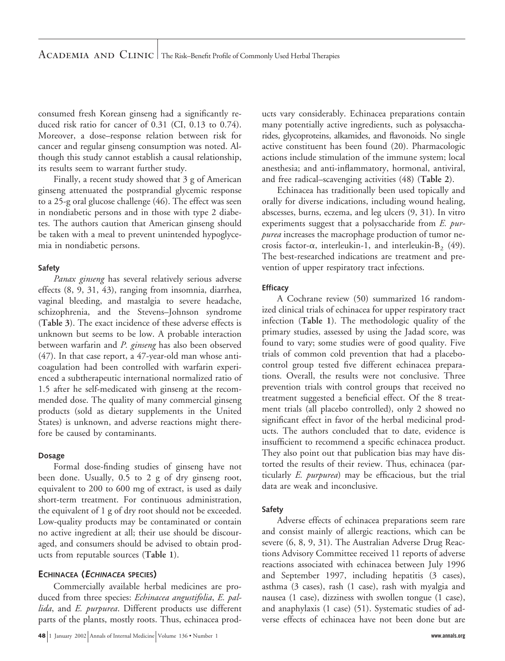consumed fresh Korean ginseng had a significantly reduced risk ratio for cancer of 0.31 (CI, 0.13 to 0.74). Moreover, a dose–response relation between risk for cancer and regular ginseng consumption was noted. Although this study cannot establish a causal relationship, its results seem to warrant further study.

Finally, a recent study showed that 3 g of American ginseng attenuated the postprandial glycemic response to a 25-g oral glucose challenge (46). The effect was seen in nondiabetic persons and in those with type 2 diabetes. The authors caution that American ginseng should be taken with a meal to prevent unintended hypoglycemia in nondiabetic persons.

# **Safety**

*Panax ginseng* has several relatively serious adverse effects (8, 9, 31, 43), ranging from insomnia, diarrhea, vaginal bleeding, and mastalgia to severe headache, schizophrenia, and the Stevens–Johnson syndrome (**Table 3**). The exact incidence of these adverse effects is unknown but seems to be low. A probable interaction between warfarin and *P. ginseng* has also been observed (47). In that case report, a 47-year-old man whose anticoagulation had been controlled with warfarin experienced a subtherapeutic international normalized ratio of 1.5 after he self-medicated with ginseng at the recommended dose. The quality of many commercial ginseng products (sold as dietary supplements in the United States) is unknown, and adverse reactions might therefore be caused by contaminants.

#### **Dosage**

Formal dose-finding studies of ginseng have not been done. Usually, 0.5 to 2 g of dry ginseng root, equivalent to 200 to 600 mg of extract, is used as daily short-term treatment. For continuous administration, the equivalent of 1 g of dry root should not be exceeded. Low-quality products may be contaminated or contain no active ingredient at all; their use should be discouraged, and consumers should be advised to obtain products from reputable sources (**Table 1**).

# **ECHINACEA (<sup>E</sup>CHINACEA SPECIES)**

Commercially available herbal medicines are produced from three species: *Echinacea angustifolia*, *E. pallida*, and *E. purpurea*. Different products use different parts of the plants, mostly roots. Thus, echinacea prod-

**48** 1 January 2002 Annals of Internal Medicine Volume 136 • Number 1 *www.annals.org* 

ucts vary considerably. Echinacea preparations contain many potentially active ingredients, such as polysaccharides, glycoproteins, alkamides, and flavonoids. No single active constituent has been found (20). Pharmacologic actions include stimulation of the immune system; local anesthesia; and anti-inflammatory, hormonal, antiviral, and free radical–scavenging activities (48) (**Table 2**).

Echinacea has traditionally been used topically and orally for diverse indications, including wound healing, abscesses, burns, eczema, and leg ulcers (9, 31). In vitro experiments suggest that a polysaccharide from *E. purpurea* increases the macrophage production of tumor necrosis factor- $\alpha$ , interleukin-1, and interleukin-B<sub>2</sub> (49). The best-researched indications are treatment and prevention of upper respiratory tract infections.

# **Efficacy**

A Cochrane review (50) summarized 16 randomized clinical trials of echinacea for upper respiratory tract infection (**Table 1**). The methodologic quality of the primary studies, assessed by using the Jadad score, was found to vary; some studies were of good quality. Five trials of common cold prevention that had a placebocontrol group tested five different echinacea preparations. Overall, the results were not conclusive. Three prevention trials with control groups that received no treatment suggested a beneficial effect. Of the 8 treatment trials (all placebo controlled), only 2 showed no significant effect in favor of the herbal medicinal products. The authors concluded that to date, evidence is insufficient to recommend a specific echinacea product. They also point out that publication bias may have distorted the results of their review. Thus, echinacea (particularly *E. purpurea*) may be efficacious, but the trial data are weak and inconclusive.

# **Safety**

Adverse effects of echinacea preparations seem rare and consist mainly of allergic reactions, which can be severe (6, 8, 9, 31). The Australian Adverse Drug Reactions Advisory Committee received 11 reports of adverse reactions associated with echinacea between July 1996 and September 1997, including hepatitis (3 cases), asthma (3 cases), rash (1 case), rash with myalgia and nausea (1 case), dizziness with swollen tongue (1 case), and anaphylaxis (1 case) (51). Systematic studies of adverse effects of echinacea have not been done but are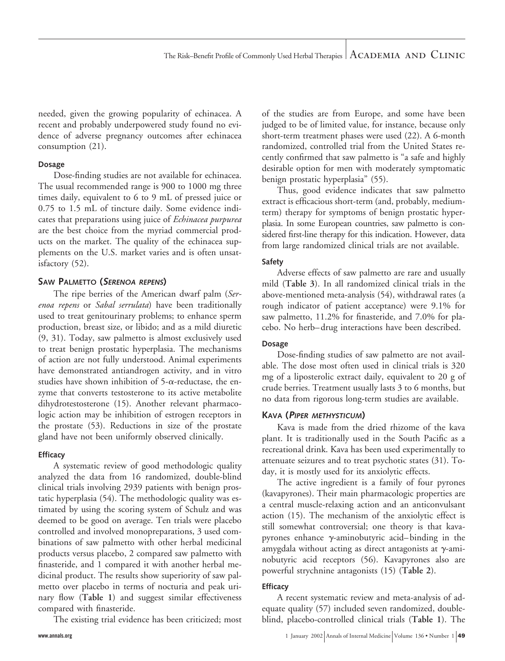needed, given the growing popularity of echinacea. A recent and probably underpowered study found no evidence of adverse pregnancy outcomes after echinacea consumption (21).

#### **Dosage**

Dose-finding studies are not available for echinacea. The usual recommended range is 900 to 1000 mg three times daily, equivalent to 6 to 9 mL of pressed juice or 0.75 to 1.5 mL of tincture daily. Some evidence indicates that preparations using juice of *Echinacea purpurea* are the best choice from the myriad commercial products on the market. The quality of the echinacea supplements on the U.S. market varies and is often unsatisfactory (52).

# **SAW PALMETTO (SERENOA REPENS)**

The ripe berries of the American dwarf palm (*Serenoa repens* or *Sabal serrulata*) have been traditionally used to treat genitourinary problems; to enhance sperm production, breast size, or libido; and as a mild diuretic (9, 31). Today, saw palmetto is almost exclusively used to treat benign prostatic hyperplasia. The mechanisms of action are not fully understood. Animal experiments have demonstrated antiandrogen activity, and in vitro studies have shown inhibition of  $5-\alpha$ -reductase, the enzyme that converts testosterone to its active metabolite dihydrotestosterone (15). Another relevant pharmacologic action may be inhibition of estrogen receptors in the prostate (53). Reductions in size of the prostate gland have not been uniformly observed clinically.

# **Efficacy**

A systematic review of good methodologic quality analyzed the data from 16 randomized, double-blind clinical trials involving 2939 patients with benign prostatic hyperplasia (54). The methodologic quality was estimated by using the scoring system of Schulz and was deemed to be good on average. Ten trials were placebo controlled and involved monopreparations, 3 used combinations of saw palmetto with other herbal medicinal products versus placebo, 2 compared saw palmetto with finasteride, and 1 compared it with another herbal medicinal product. The results show superiority of saw palmetto over placebo in terms of nocturia and peak urinary flow (**Table 1**) and suggest similar effectiveness compared with finasteride.

The existing trial evidence has been criticized; most

of the studies are from Europe, and some have been judged to be of limited value, for instance, because only short-term treatment phases were used (22). A 6-month randomized, controlled trial from the United States recently confirmed that saw palmetto is "a safe and highly desirable option for men with moderately symptomatic benign prostatic hyperplasia" (55).

Thus, good evidence indicates that saw palmetto extract is efficacious short-term (and, probably, mediumterm) therapy for symptoms of benign prostatic hyperplasia. In some European countries, saw palmetto is considered first-line therapy for this indication. However, data from large randomized clinical trials are not available.

# **Safety**

Adverse effects of saw palmetto are rare and usually mild (**Table 3**). In all randomized clinical trials in the above-mentioned meta-analysis (54), withdrawal rates (a rough indicator of patient acceptance) were 9.1% for saw palmetto, 11.2% for finasteride, and 7.0% for placebo. No herb–drug interactions have been described.

# **Dosage**

Dose-finding studies of saw palmetto are not available. The dose most often used in clinical trials is 320 mg of a liposterolic extract daily, equivalent to 20 g of crude berries. Treatment usually lasts 3 to 6 months, but no data from rigorous long-term studies are available.

# **KAVA (<sup>P</sup>IPER METHYSTICUM)**

Kava is made from the dried rhizome of the kava plant. It is traditionally used in the South Pacific as a recreational drink. Kava has been used experimentally to attenuate seizures and to treat psychotic states (31). Today, it is mostly used for its anxiolytic effects.

The active ingredient is a family of four pyrones (kavapyrones). Their main pharmacologic properties are a central muscle-relaxing action and an anticonvulsant action (15). The mechanism of the anxiolytic effect is still somewhat controversial; one theory is that kavapyrones enhance  $\gamma$ -aminobutyric acid–binding in the amygdala without acting as direct antagonists at  $\gamma$ -aminobutyric acid receptors (56). Kavapyrones also are powerful strychnine antagonists (15) (**Table 2**).

# **Efficacy**

A recent systematic review and meta-analysis of adequate quality (57) included seven randomized, doubleblind, placebo-controlled clinical trials (**Table 1**). The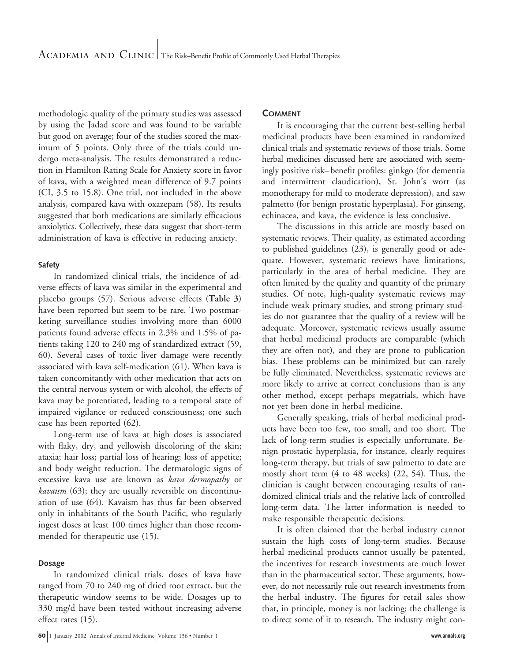methodologic quality of the primary studies was assessed by using the Jadad score and was found to be variable but good on average; four of the studies scored the maximum of 5 points. Only three of the trials could undergo meta-analysis. The results demonstrated a reduction in Hamilton Rating Scale for Anxiety score in favor of kava, with a weighted mean difference of 9.7 points (CI, 3.5 to 15.8). One trial, not included in the above analysis, compared kava with oxazepam (58). Its results suggested that both medications are similarly efficacious anxiolytics. Collectively, these data suggest that short-term administration of kava is effective in reducing anxiety.

#### **Safety**

In randomized clinical trials, the incidence of adverse effects of kava was similar in the experimental and placebo groups (57). Serious adverse effects (**Table 3**) have been reported but seem to be rare. Two postmarketing surveillance studies involving more than 6000 patients found adverse effects in 2.3% and 1.5% of patients taking 120 to 240 mg of standardized extract (59, 60). Several cases of toxic liver damage were recently associated with kava self-medication (61). When kava is taken concomitantly with other medication that acts on the central nervous system or with alcohol, the effects of kava may be potentiated, leading to a temporal state of impaired vigilance or reduced consciousness; one such case has been reported (62).

Long-term use of kava at high doses is associated with flaky, dry, and yellowish discoloring of the skin; ataxia; hair loss; partial loss of hearing; loss of appetite; and body weight reduction. The dermatologic signs of excessive kava use are known as *kava dermopathy* or *kavaism* (63); they are usually reversible on discontinuation of use (64). Kavaism has thus far been observed only in inhabitants of the South Pacific, who regularly ingest doses at least 100 times higher than those recommended for therapeutic use (15).

#### **Dosage**

In randomized clinical trials, doses of kava have ranged from 70 to 240 mg of dried root extract, but the therapeutic window seems to be wide. Dosages up to 330 mg/d have been tested without increasing adverse effect rates (15).

#### **COMMENT**

It is encouraging that the current best-selling herbal medicinal products have been examined in randomized clinical trials and systematic reviews of those trials. Some herbal medicines discussed here are associated with seemingly positive risk–benefit profiles: ginkgo (for dementia and intermittent claudication), St. John's wort (as monotherapy for mild to moderate depression), and saw palmetto (for benign prostatic hyperplasia). For ginseng, echinacea, and kava, the evidence is less conclusive.

The discussions in this article are mostly based on systematic reviews. Their quality, as estimated according to published guidelines (23), is generally good or adequate. However, systematic reviews have limitations, particularly in the area of herbal medicine. They are often limited by the quality and quantity of the primary studies. Of note, high-quality systematic reviews may include weak primary studies, and strong primary studies do not guarantee that the quality of a review will be adequate. Moreover, systematic reviews usually assume that herbal medicinal products are comparable (which they are often not), and they are prone to publication bias. These problems can be minimized but can rarely be fully eliminated. Nevertheless, systematic reviews are more likely to arrive at correct conclusions than is any other method, except perhaps megatrials, which have not yet been done in herbal medicine.

Generally speaking, trials of herbal medicinal products have been too few, too small, and too short. The lack of long-term studies is especially unfortunate. Benign prostatic hyperplasia, for instance, clearly requires long-term therapy, but trials of saw palmetto to date are mostly short term (4 to 48 weeks) (22, 54). Thus, the clinician is caught between encouraging results of randomized clinical trials and the relative lack of controlled long-term data. The latter information is needed to make responsible therapeutic decisions.

It is often claimed that the herbal industry cannot sustain the high costs of long-term studies. Because herbal medicinal products cannot usually be patented, the incentives for research investments are much lower than in the pharmaceutical sector. These arguments, however, do not necessarily rule out research investments from the herbal industry. The figures for retail sales show that, in principle, money is not lacking; the challenge is to direct some of it to research. The industry might con-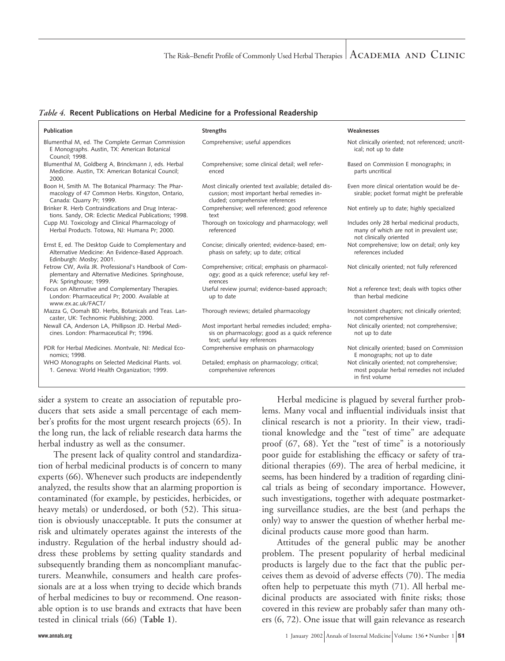#### *Table 4.* **Recent Publications on Herbal Medicine for a Professional Readership**

| Publication                                                                                                                          | <b>Strengths</b>                                                                                                                          | Weaknesses                                                                                                        |
|--------------------------------------------------------------------------------------------------------------------------------------|-------------------------------------------------------------------------------------------------------------------------------------------|-------------------------------------------------------------------------------------------------------------------|
| Blumenthal M, ed. The Complete German Commission<br>E Monographs. Austin, TX: American Botanical<br>Council; 1998.                   | Comprehensive; useful appendices                                                                                                          | Not clinically oriented; not referenced; uncrit-<br>ical; not up to date                                          |
| Blumenthal M, Goldberg A, Brinckmann J, eds. Herbal<br>Medicine. Austin, TX: American Botanical Council;<br>2000.                    | Comprehensive; some clinical detail; well refer-<br>enced                                                                                 | Based on Commission E monographs; in<br>parts uncritical                                                          |
| Boon H, Smith M. The Botanical Pharmacy: The Phar-<br>macology of 47 Common Herbs. Kingston, Ontario,<br>Canada: Quarry Pr; 1999.    | Most clinically oriented text available; detailed dis-<br>cussion; most important herbal remedies in-<br>cluded; comprehensive references | Even more clinical orientation would be de-<br>sirable; pocket format might be preferable                         |
| Brinker R. Herb Contraindications and Drug Interac-<br>tions. Sandy, OR: Eclectic Medical Publications; 1998.                        | Comprehensive; well referenced; good reference<br>text                                                                                    | Not entirely up to date; highly specialized                                                                       |
| Cupp MJ. Toxicology and Clinical Pharmacology of<br>Herbal Products. Totowa, NJ: Humana Pr; 2000.                                    | Thorough on toxicology and pharmacology; well<br>referenced                                                                               | Includes only 28 herbal medicinal products,<br>many of which are not in prevalent use;<br>not clinically oriented |
| Ernst E, ed. The Desktop Guide to Complementary and<br>Alternative Medicine: An Evidence-Based Approach.<br>Edinburgh: Mosby; 2001.  | Concise; clinically oriented; evidence-based; em-<br>phasis on safety; up to date; critical                                               | Not comprehensive; low on detail; only key<br>references included                                                 |
| Fetrow CW, Avila JR. Professional's Handbook of Com-<br>plementary and Alternative Medicines. Springhouse,<br>PA: Springhouse; 1999. | Comprehensive; critical; emphasis on pharmacol-<br>ogy; good as a quick reference; useful key ref-<br>erences                             | Not clinically oriented; not fully referenced                                                                     |
| Focus on Alternative and Complementary Therapies.<br>London: Pharmaceutical Pr; 2000. Available at<br>www.ex.ac.uk/FACT/             | Useful review journal; evidence-based approach;<br>up to date                                                                             | Not a reference text; deals with topics other<br>than herbal medicine                                             |
| Mazza G, Oomah BD. Herbs, Botanicals and Teas. Lan-<br>caster, UK: Technomic Publishing; 2000.                                       | Thorough reviews; detailed pharmacology                                                                                                   | Inconsistent chapters; not clinically oriented;<br>not comprehensive                                              |
| Newall CA, Anderson LA, Phillipson JD. Herbal Medi-<br>cines. London: Pharmaceutical Pr; 1996.                                       | Most important herbal remedies included; empha-<br>sis on pharmacology; good as a quick reference<br>text; useful key references          | Not clinically oriented; not comprehensive;<br>not up to date                                                     |
| PDR for Herbal Medicines. Montvale, NJ: Medical Eco-<br>nomics; 1998.                                                                | Comprehensive emphasis on pharmacology                                                                                                    | Not clinically oriented; based on Commission<br>E monographs; not up to date                                      |
| WHO Monographs on Selected Medicinal Plants. vol.<br>1. Geneva: World Health Organization; 1999.                                     | Detailed; emphasis on pharmacology; critical;<br>comprehensive references                                                                 | Not clinically oriented; not comprehensive;<br>most popular herbal remedies not included<br>in first volume       |

sider a system to create an association of reputable producers that sets aside a small percentage of each member's profits for the most urgent research projects (65). In the long run, the lack of reliable research data harms the herbal industry as well as the consumer.

The present lack of quality control and standardization of herbal medicinal products is of concern to many experts (66). Whenever such products are independently analyzed, the results show that an alarming proportion is contaminated (for example, by pesticides, herbicides, or heavy metals) or underdosed, or both (52). This situation is obviously unacceptable. It puts the consumer at risk and ultimately operates against the interests of the industry. Regulation of the herbal industry should address these problems by setting quality standards and subsequently branding them as noncompliant manufacturers. Meanwhile, consumers and health care professionals are at a loss when trying to decide which brands of herbal medicines to buy or recommend. One reasonable option is to use brands and extracts that have been tested in clinical trials (66) (**Table 1**).

Herbal medicine is plagued by several further problems. Many vocal and influential individuals insist that clinical research is not a priority. In their view, traditional knowledge and the "test of time" are adequate proof (67, 68). Yet the "test of time" is a notoriously poor guide for establishing the efficacy or safety of traditional therapies (69). The area of herbal medicine, it seems, has been hindered by a tradition of regarding clinical trials as being of secondary importance. However, such investigations, together with adequate postmarketing surveillance studies, are the best (and perhaps the only) way to answer the question of whether herbal medicinal products cause more good than harm.

Attitudes of the general public may be another problem. The present popularity of herbal medicinal products is largely due to the fact that the public perceives them as devoid of adverse effects (70). The media often help to perpetuate this myth (71). All herbal medicinal products are associated with finite risks; those covered in this review are probably safer than many others (6, 72). One issue that will gain relevance as research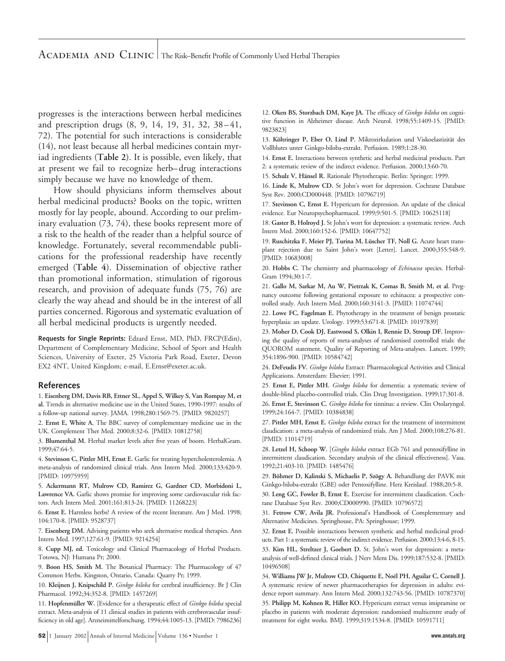progresses is the interactions between herbal medicines and prescription drugs (8, 9, 14, 19, 31, 32, 38–41, 72). The potential for such interactions is considerable (14), not least because all herbal medicines contain myriad ingredients (**Table 2**). It is possible, even likely, that at present we fail to recognize herb–drug interactions simply because we have no knowledge of them.

How should physicians inform themselves about herbal medicinal products? Books on the topic, written mostly for lay people, abound. According to our preliminary evaluation (73, 74), these books represent more of a risk to the health of the reader than a helpful source of knowledge. Fortunately, several recommendable publications for the professional readership have recently emerged (**Table 4**). Dissemination of objective rather than promotional information, stimulation of rigorous research, and provision of adequate funds (75, 76) are clearly the way ahead and should be in the interest of all parties concerned. Rigorous and systematic evaluation of all herbal medicinal products is urgently needed.

**Requests for Single Reprints:** Edzard Ernst, MD, PhD, FRCP(Edin), Department of Complementary Medicine, School of Sport and Health Sciences, University of Exeter, 25 Victoria Park Road, Exeter, Devon EX2 4NT, United Kingdom; e-mail, E.Ernst@exeter.ac.uk.

#### **References**

1. **Eisenberg DM, Davis RB, Ettner SL, Appel S, Wilkey S, Van Rompay M, et al.** Trends in alternative medicine use in the United States, 1990-1997: results of a follow-up national survey. JAMA. 1998;280:1569-75. [PMID: 9820257]

2. **Ernst E, White A.** The BBC survey of complementary medicine use in the UK. Complement Ther Med. 2000;8:32-6. [PMID: 10812758]

3. **Blumenthal M.** Herbal market levels after five years of boom. HerbalGram. 1999;47:64-5.

4. **Stevinson C, Pittler MH, Ernst E.** Garlic for treating hypercholesterolemia. A meta-analysis of randomized clinical trials. Ann Intern Med. 2000;133:420-9. [PMID: 10975959]

5. **Ackermann RT, Mulrow CD, Ramirez G, Gardner CD, Morbidoni L, Lawrence VA.** Garlic shows promise for improving some cardiovascular risk factors. Arch Intern Med. 2001;161:813-24. [PMID: 11268223]

6. **Ernst E.** Harmless herbs? A review of the recent literature. Am J Med. 1998; 104:170-8. [PMID: 9528737]

7. **Eisenberg DM.** Advising patients who seek alternative medical therapies. Ann Intern Med. 1997;127:61-9. [PMID: 9214254]

8. **Cupp MJ, ed.** Toxicology and Clinical Pharmacology of Herbal Products. Totowa, NJ: Humana Pr; 2000.

9. **Boon HS, Smith M.** The Botanical Pharmacy: The Pharmacology of 47 Common Herbs. Kingston, Ontario, Canada: Quarry Pr; 1999.

10. **Kleijnen J, Knipschild P.** *Ginkgo biloba* for cerebral insufficiency. Br J Clin Pharmacol. 1992;34:352-8. [PMID: 1457269]

11. **Hopfenmüller W.** [Evidence for a therapeutic effect of *Ginkgo biloba* special extract. Meta-analysis of 11 clinical studies in patients with cerebrovascular insufficiency in old age]. Arzneimittelforschung. 1994;44:1005-13. [PMID: 7986236] 12. **Oken BS, Storzbach DM, Kaye JA.** The efficacy of *Ginkgo biloba* on cognitive function in Alzheimer disease. Arch Neurol. 1998;55:1409-15. [PMID: 9823823]

13. Költringer P, Eber O, Lind P. Mikrozirkulation und Viskoelastizität des Vollblutes unter Ginkgo-biloba-extrakt. Perfusion. 1989;1:28-30.

14. **Ernst E.** Interactions between synthetic and herbal medicinal products. Part 2: a systematic review of the indirect evidence. Perfusion. 2000;13:60-70.

15. Schulz V, Hänsel R. Rationale Phytotherapie. Berlin: Springer; 1999.

16. **Linde K, Mulrow CD.** St John's wort for depression. Cochrane Database Syst Rev. 2000;CD000448. [PMID: 10796719]

17. **Stevinson C, Ernst E.** Hypericum for depression. An update of the clinical evidence. Eur Neuropsychopharmacol. 1999;9:501-5. [PMID: 10625118]

18. **Gaster B, Holroyd J.** St John's wort for depression: a systematic review. Arch Intern Med. 2000;160:152-6. [PMID: 10647752]

19. Ruschitzka F, Meier PJ, Turina M, Lüscher TF, Noll G. Acute heart transplant rejection due to Saint John's wort [Letter]. Lancet. 2000;355:548-9. [PMID: 10683008]

20. **Hobbs C.** The chemistry and pharmacology of *Echinacea* species. Herbal-Gram 1994;30:1-7.

21. **Gallo M, Sarkar M, Au W, Pietrzak K, Comas B, Smith M, et al.** Pregnancy outcome following gestational exposure to echinacea: a prospective controlled study. Arch Intern Med. 2000;160:3141-3. [PMID: 11074744]

22. **Lowe FC, Fagelman E.** Phytotherapy in the treatment of benign prostatic hyperplasia: an update. Urology. 1999;53:671-8. [PMID: 10197839]

23. **Moher D, Cook DJ, Eastwood S, Olkin I, Rennie D, Stroup DF.** Improving the quality of reports of meta-analyses of randomised controlled trials: the QUOROM statement. Quality of Reporting of Meta-analyses. Lancet. 1999; 354:1896-900. [PMID: 10584742]

24. **DeFeudis FV.** *Ginkgo biloba* Extract: Pharmacological Activities and Clinical Applications. Amsterdam: Elsevier; 1991.

25. **Ernst E, Pittler MH.** *Ginkgo biloba* for dementia: a systematic review of double-blind placebo-controlled trials. Clin Drug Investigation. 1999;17:301-8. 26. **Ernst E, Stevinson C.** *Ginkgo biloba* for tinnitus: a review. Clin Otolaryngol. 1999;24:164-7. [PMID: 10384838]

27. **Pittler MH, Ernst E.** *Ginkgo biloba* extract for the treatment of intermittent claudication: a meta-analysis of randomized trials. Am J Med. 2000;108:276-81. [PMID: 11014719]

28. **Letzel H, Schoop W.** [*Gingko biloba* extract EGb 761 and pentoxifylline in intermittent claudication. Secondary analysis of the clinical effectiveness]. Vasa. 1992;21:403-10. [PMID: 1485476]

29. Böhmer D, Kalinski S, Michaelis P, Szögy A. Behandlung der PAVK mit Ginkgo-biloba-extrakt (GBE) oder Pentoxifylline. Herz Kreislauf. 1988;20:5-8.

30. **Leng GC, Fowler B, Ernst E.** Exercise for intermittent claudication. Cochrane Database Syst Rev. 2000;CD000990. [PMID: 10796572]

31. **Fetrow CW, Avila JR.** Professional's Handbook of Complementary and Alternative Medicines. Springhouse, PA: Springhouse; 1999.

32. **Ernst E.** Possible interactions between synthetic and herbal medicinal products. Part 1: a systematic review of the indirect evidence. Perfusion. 2000;13:4-6, 8-15.

33. **Kim HL, Streltzer J, Goebert D.** St. John's wort for depression: a metaanalysis of well-defined clinical trials. J Nerv Ment Dis. 1999;187:532-8. [PMID: 10496508]

34. Williams JW Jr, Mulrow CD, Chiquette E, Noël PH, Aguilar C, Cornell J. A systematic review of newer pharmacotherapies for depression in adults: evidence report summary. Ann Intern Med. 2000;132:743-56. [PMID: 10787370]

35. **Philipp M, Kohnen R, Hiller KO.** Hypericum extract versus imipramine or placebo in patients with moderate depression: randomised multicentre study of treatment for eight weeks. BMJ. 1999;319:1534-8. [PMID: 10591711]